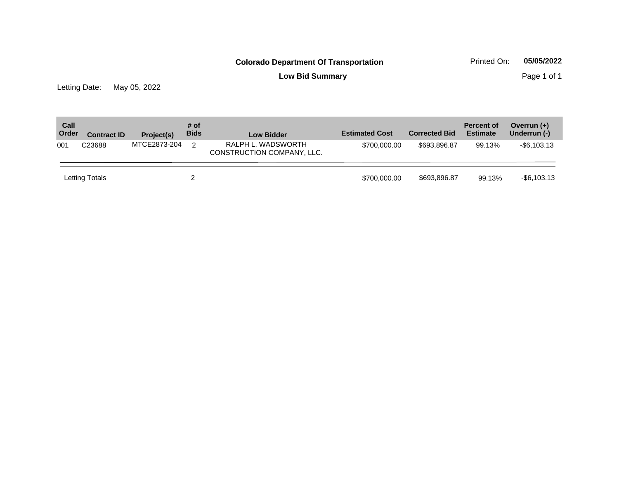**Low Bid Summary Page 1 of 1** 

Letting Date: May 05, 2022

| Call<br>Order | <b>Contract ID</b> | Project(s)   | # of<br><b>Bids</b> | <b>Low Bidder</b>                                | <b>Estimated Cost</b> | <b>Corrected Bid</b> | <b>Percent of</b><br><b>Estimate</b> | Overrun $(+)$<br>Underrun (-) |
|---------------|--------------------|--------------|---------------------|--------------------------------------------------|-----------------------|----------------------|--------------------------------------|-------------------------------|
| 001           | C23688             | MTCE2873-204 | 2                   | RALPH L. WADSWORTH<br>CONSTRUCTION COMPANY, LLC. | \$700,000.00          | \$693,896.87         | 99.13%                               | $-$ \$6,103.13                |
|               | Letting Totals     |              |                     |                                                  | \$700,000.00          | \$693,896.87         | 99.13%                               | $-$ \$6,103.13                |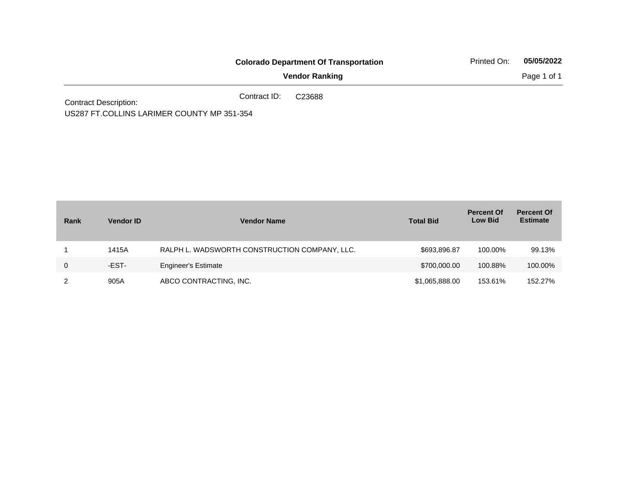|                              |              | <b>Colorado Department Of Transportation</b> | Printed On: | 05/05/2022  |
|------------------------------|--------------|----------------------------------------------|-------------|-------------|
|                              |              | <b>Vendor Ranking</b>                        |             | Page 1 of 1 |
| <b>Contract Description:</b> | Contract ID: | C23688                                       |             |             |

US287 FT.COLLINS LARIMER COUNTY MP 351-354

| Rank | <b>Vendor ID</b> | <b>Vendor Name</b>                            | <b>Total Bid</b> | <b>Percent Of</b><br><b>Low Bid</b> | <b>Percent Of</b><br><b>Estimate</b> |
|------|------------------|-----------------------------------------------|------------------|-------------------------------------|--------------------------------------|
|      | 1415A            | RALPH L. WADSWORTH CONSTRUCTION COMPANY, LLC. | \$693.896.87     | 100.00%                             | 99.13%                               |
| 0    | -EST-            | <b>Engineer's Estimate</b>                    | \$700,000.00     | 100.88%                             | 100.00%                              |
|      | 905A             | ABCO CONTRACTING, INC.                        | \$1,065,888.00   | 153.61%                             | 152.27%                              |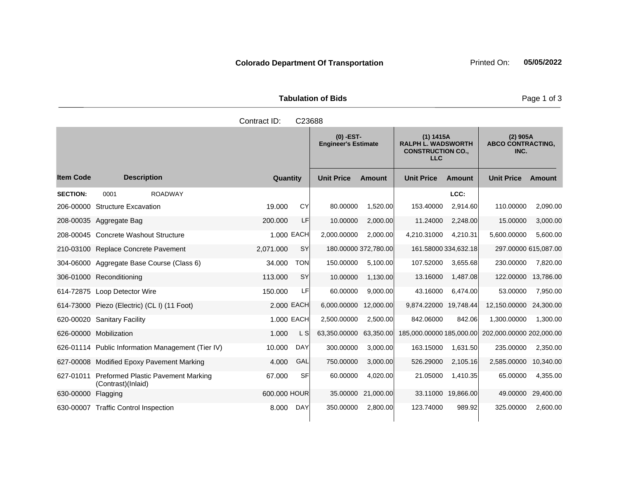|                               | <b>Tabulation of Bids</b> |
|-------------------------------|---------------------------|
| Contract $\mathsf{ID}$ CO3688 |                           |

|                    |                                                                    |              | ບ∠ບບບ      |                                           |                      |                                                                                  |                      |                                                |               |
|--------------------|--------------------------------------------------------------------|--------------|------------|-------------------------------------------|----------------------|----------------------------------------------------------------------------------|----------------------|------------------------------------------------|---------------|
|                    |                                                                    |              |            | $(0)$ -EST-<br><b>Engineer's Estimate</b> |                      | (1) 1415A<br><b>RALPH L. WADSWORTH</b><br><b>CONSTRUCTION CO.,</b><br><b>LLC</b> |                      | $(2)$ 905A<br><b>ABCO CONTRACTING,</b><br>INC. |               |
| <b>Item Code</b>   | <b>Description</b>                                                 | Quantity     |            | <b>Unit Price</b>                         | <b>Amount</b>        | <b>Unit Price</b>                                                                | Amount               | <b>Unit Price</b>                              | <b>Amount</b> |
| <b>SECTION:</b>    | <b>ROADWAY</b><br>0001                                             |              |            |                                           |                      |                                                                                  | LCC:                 |                                                |               |
| 206-00000          | <b>Structure Excavation</b>                                        | 19.000       | CY         | 80.00000                                  | 1,520.00             | 153.40000                                                                        | 2,914.60             | 110.00000                                      | 2,090.00      |
|                    | 208-00035 Aggregate Bag                                            | 200.000      | LF         | 10.00000                                  | 2,000.00             | 11.24000                                                                         | 2,248.00             | 15.00000                                       | 3,000.00      |
|                    | 208-00045 Concrete Washout Structure                               |              | 1.000 EACH | 2,000.00000                               | 2,000.00             | 4,210.31000                                                                      | 4,210.31             | 5,600.00000                                    | 5,600.00      |
|                    | 210-03100 Replace Concrete Pavement                                | 2,071.000    | <b>SY</b>  |                                           | 180.00000 372,780.00 |                                                                                  | 161.58000 334,632.18 | 297.00000 615,087.00                           |               |
|                    | 304-06000 Aggregate Base Course (Class 6)                          | 34.000       | <b>TON</b> | 150.00000                                 | 5,100.00             | 107.52000                                                                        | 3,655.68             | 230.00000                                      | 7,820.00      |
|                    | 306-01000 Reconditioning                                           | 113,000      | <b>SY</b>  | 10.00000                                  | 1,130.00             | 13.16000                                                                         | 1,487.08             | 122.00000                                      | 13,786.00     |
|                    | 614-72875 Loop Detector Wire                                       | 150.000      | LF         | 60.00000                                  | 9,000.00             | 43.16000                                                                         | 6,474.00             | 53.00000                                       | 7,950.00      |
|                    | 614-73000 Piezo (Electric) (CL I) (11 Foot)                        |              | 2.000 EACH | 6,000.00000                               | 12,000.00            | 9,874.22000                                                                      | 19,748.44            | 12,150.00000                                   | 24,300.00     |
|                    | 620-00020 Sanitary Facility                                        |              | 1.000 EACH | 2,500.00000                               | 2,500.00             | 842.06000                                                                        | 842.06               | 1,300.00000                                    | 1,300.00      |
|                    | 626-00000 Mobilization                                             | 1.000        | L SI       | 63,350.00000                              | 63,350.00            | 185,000.00000 185,000.00                                                         |                      | 202,000.00000 202,000.00                       |               |
|                    | 626-01114 Public Information Management (Tier IV)                  | 10.000       | <b>DAY</b> | 300.00000                                 | 3,000.00             | 163.15000                                                                        | 1,631.50             | 235.00000                                      | 2,350.00      |
|                    | 627-00008 Modified Epoxy Pavement Marking                          | 4.000        | GAL        | 750.00000                                 | 3,000.00             | 526.29000                                                                        | 2,105.16             | 2,585.00000                                    | 10,340.00     |
|                    | 627-01011 Preformed Plastic Pavement Marking<br>(Contrast)(Inlaid) | 67.000       | SF         | 60.00000                                  | 4,020.00             | 21.05000                                                                         | 1,410.35             | 65.00000                                       | 4,355.00      |
| 630-00000 Flagging |                                                                    | 600.000 HOUR |            | 35.00000                                  | 21,000.00            |                                                                                  | 33.11000 19,866.00   | 49.00000                                       | 29,400.00     |
|                    | 630-00007 Traffic Control Inspection                               | 8.000        | <b>DAY</b> | 350.00000                                 | 2,800.00             | 123.74000                                                                        | 989.92               | 325.00000                                      | 2,600.00      |

Page 1 of 3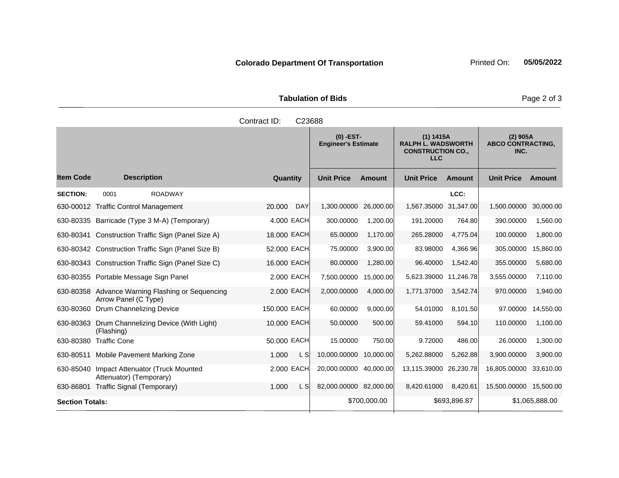| <b>Tabulation of Bids</b> |                               |  |  |  |  |  |  |
|---------------------------|-------------------------------|--|--|--|--|--|--|
|                           | Contract ID: C23688<br>$\sim$ |  |  |  |  |  |  |

|                        |                                                                          |                      | $(0)$ -EST-<br><b>Engineer's Estimate</b> |               | (1) 1415A<br><b>RALPH L. WADSWORTH</b><br><b>CONSTRUCTION CO.,</b><br><b>LLC</b> |              | $(2)$ 905A<br><b>ABCO CONTRACTING,</b><br>INC. |                |
|------------------------|--------------------------------------------------------------------------|----------------------|-------------------------------------------|---------------|----------------------------------------------------------------------------------|--------------|------------------------------------------------|----------------|
| <b>Item Code</b>       | <b>Description</b>                                                       | Quantity             | <b>Unit Price</b>                         | <b>Amount</b> | <b>Unit Price</b>                                                                | Amount       | <b>Unit Price</b>                              | Amount         |
| <b>SECTION:</b>        | 0001<br><b>ROADWAY</b>                                                   |                      |                                           |               |                                                                                  | LCC:         |                                                |                |
|                        | 630-00012 Traffic Control Management                                     | <b>DAY</b><br>20.000 | 1,300.00000                               | 26,000.00     | 1,567.35000 31,347.00                                                            |              | 1,500.00000                                    | 30,000.00      |
|                        | 630-80335 Barricade (Type 3 M-A) (Temporary)                             | 4.000 EACH           | 300.00000                                 | 1,200.00      | 191.20000                                                                        | 764.80       | 390.00000                                      | 1,560.00       |
| 630-80341              | Construction Traffic Sign (Panel Size A)                                 | 18.000 EACH          | 65.00000                                  | 1,170.00      | 265.28000                                                                        | 4,775.04     | 100.00000                                      | 1,800.00       |
|                        | 630-80342 Construction Traffic Sign (Panel Size B)                       | 52.000 EACH          | 75.00000                                  | 3,900.00      | 83.98000                                                                         | 4.366.96     | 305.00000                                      | 15,860.00      |
|                        | 630-80343 Construction Traffic Sign (Panel Size C)                       | 16.000 EACH          | 80.00000                                  | 1,280.00      | 96.40000                                                                         | 1,542.40     | 355.00000                                      | 5,680.00       |
|                        | 630-80355 Portable Message Sign Panel                                    | 2.000 EACH           | 7,500.00000                               | 15,000.00     | 5,623.39000                                                                      | 11,246.78    | 3,555.00000                                    | 7,110.00       |
|                        | 630-80358 Advance Warning Flashing or Sequencing<br>Arrow Panel (C Type) | 2.000 EACH           | 2,000.00000                               | 4,000.00      | 1,771.37000                                                                      | 3,542.74     | 970.00000                                      | 1,940.00       |
| 630-80360              | Drum Channelizing Device                                                 | 150.000 EACH         | 60.00000                                  | 9,000.00      | 54.01000                                                                         | 8,101.50     | 97,00000                                       | 14,550.00      |
| 630-80363              | Drum Channelizing Device (With Light)<br>(Flashing)                      | 10.000 EACH          | 50.00000                                  | 500.00        | 59.41000                                                                         | 594.10       | 110.00000                                      | 1,100.00       |
| 630-80380              | <b>Traffic Cone</b>                                                      | 50,000 EACH          | 15.00000                                  | 750.00        | 9.72000                                                                          | 486.00       | 26.00000                                       | 1,300.00       |
| 630-80511              | Mobile Pavement Marking Zone                                             | 1.000<br>L S         | 10,000.00000                              | 10,000.00     | 5,262.88000                                                                      | 5,262.88     | 3,900.00000                                    | 3,900.00       |
| 630-85040              | Impact Attenuator (Truck Mounted<br>Attenuator) (Temporary)              | 2,000 EACH           | 20,000.00000                              | 40,000.00     | 13,115.39000                                                                     | 26,230.78    | 16,805.00000                                   | 33.610.00      |
| 630-86801              | Traffic Signal (Temporary)                                               | L S<br>1.000         | 82,000.00000 82,000.00                    |               | 8,420.61000                                                                      | 8,420.61     | 15,500.00000 15,500.00                         |                |
| <b>Section Totals:</b> |                                                                          |                      |                                           | \$700,000.00  |                                                                                  | \$693,896.87 |                                                | \$1,065,888.00 |

Page 2 of 3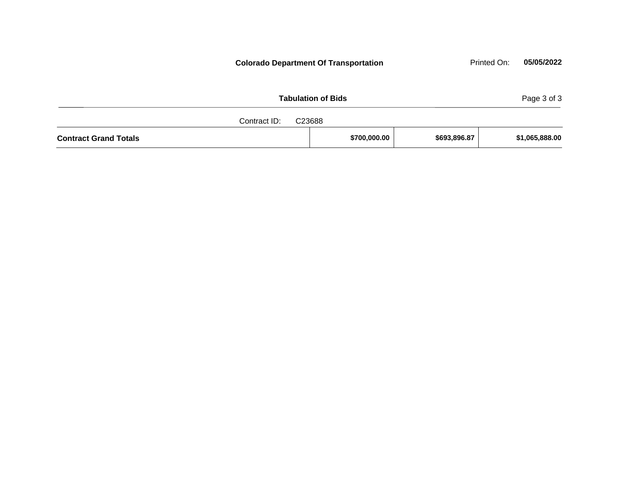| Page 3 of 3<br><b>Tabulation of Bids</b><br>Contract ID:<br>C23688 |  |  |  |  |  |  |
|--------------------------------------------------------------------|--|--|--|--|--|--|
|                                                                    |  |  |  |  |  |  |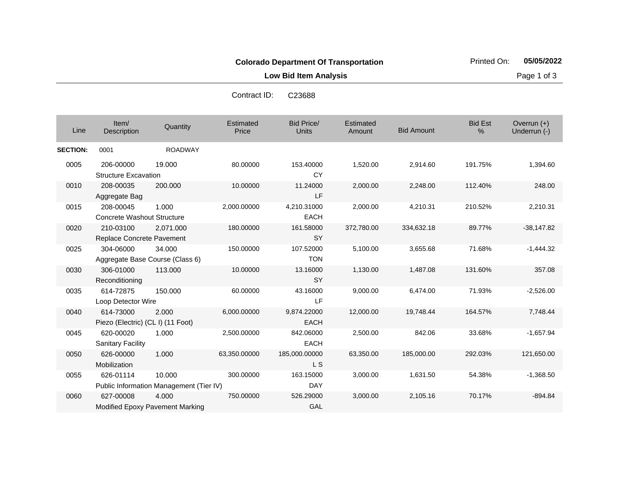**Low Bid Item Analysis Page 1 of 3** 

|                 |                                   |                                         | Contract ID:              | C23688                            |                            |                   |                     |                               |
|-----------------|-----------------------------------|-----------------------------------------|---------------------------|-----------------------------------|----------------------------|-------------------|---------------------|-------------------------------|
| Line            | Item/<br>Description              | Quantity                                | <b>Estimated</b><br>Price | <b>Bid Price/</b><br><b>Units</b> | <b>Estimated</b><br>Amount | <b>Bid Amount</b> | <b>Bid Est</b><br>% | Overrun $(+)$<br>Underrun (-) |
| <b>SECTION:</b> | 0001                              | <b>ROADWAY</b>                          |                           |                                   |                            |                   |                     |                               |
| 0005            | 206-00000                         | 19.000                                  | 80.00000                  | 153.40000                         | 1,520.00                   | 2,914.60          | 191.75%             | 1,394.60                      |
|                 | <b>Structure Excavation</b>       |                                         |                           | <b>CY</b>                         |                            |                   |                     |                               |
| 0010            | 208-00035                         | 200,000                                 | 10.00000                  | 11.24000                          | 2,000.00                   | 2,248.00          | 112.40%             | 248.00                        |
|                 | Aggregate Bag                     |                                         |                           | LF                                |                            |                   |                     |                               |
| 0015            | 208-00045                         | 1.000                                   | 2,000.00000               | 4,210.31000                       | 2,000.00                   | 4,210.31          | 210.52%             | 2,210.31                      |
|                 | <b>Concrete Washout Structure</b> |                                         |                           | <b>EACH</b>                       |                            |                   |                     |                               |
| 0020            | 210-03100                         | 2.071.000                               | 180.00000                 | 161.58000                         | 372,780.00                 | 334,632.18        | 89.77%              | $-38,147.82$                  |
|                 | Replace Concrete Pavement         |                                         |                           | <b>SY</b>                         |                            |                   |                     |                               |
| 0025            | 304-06000                         | 34.000                                  | 150.00000                 | 107.52000                         | 5,100.00                   | 3,655.68          | 71.68%              | $-1,444.32$                   |
|                 |                                   | Aggregate Base Course (Class 6)         |                           | <b>TON</b>                        |                            |                   |                     |                               |
| 0030            | 306-01000                         | 113.000                                 | 10.00000                  | 13.16000                          | 1,130.00                   | 1,487.08          | 131.60%             | 357.08                        |
|                 | Reconditioning                    |                                         |                           | <b>SY</b>                         |                            |                   |                     |                               |
| 0035            | 614-72875                         | 150.000                                 | 60.00000                  | 43.16000                          | 9,000.00                   | 6,474.00          | 71.93%              | $-2,526.00$                   |
|                 | Loop Detector Wire                |                                         |                           | LF.                               |                            |                   |                     |                               |
| 0040            | 614-73000                         | 2.000                                   | 6,000.00000               | 9,874.22000                       | 12,000.00                  | 19,748.44         | 164.57%             | 7,748.44                      |
|                 | Piezo (Electric) (CL I) (11 Foot) |                                         |                           | <b>EACH</b>                       |                            |                   |                     |                               |
| 0045            | 620-00020                         | 1.000                                   | 2,500.00000               | 842.06000                         | 2,500.00                   | 842.06            | 33.68%              | $-1,657.94$                   |
|                 | <b>Sanitary Facility</b>          |                                         |                           | <b>EACH</b>                       |                            |                   |                     |                               |
| 0050            | 626-00000                         | 1.000                                   | 63,350.00000              | 185,000.00000                     | 63,350.00                  | 185,000.00        | 292.03%             | 121,650.00                    |
|                 | Mobilization                      |                                         |                           | L S                               |                            |                   |                     |                               |
| 0055            | 626-01114                         | 10.000                                  | 300.00000                 | 163.15000                         | 3,000.00                   | 1,631.50          | 54.38%              | $-1,368.50$                   |
|                 |                                   | Public Information Management (Tier IV) |                           | <b>DAY</b>                        |                            |                   |                     |                               |
| 0060            | 627-00008                         | 4.000                                   | 750.00000                 | 526.29000                         | 3,000.00                   | 2,105.16          | 70.17%              | $-894.84$                     |

GAL

Modified Epoxy Pavement Marking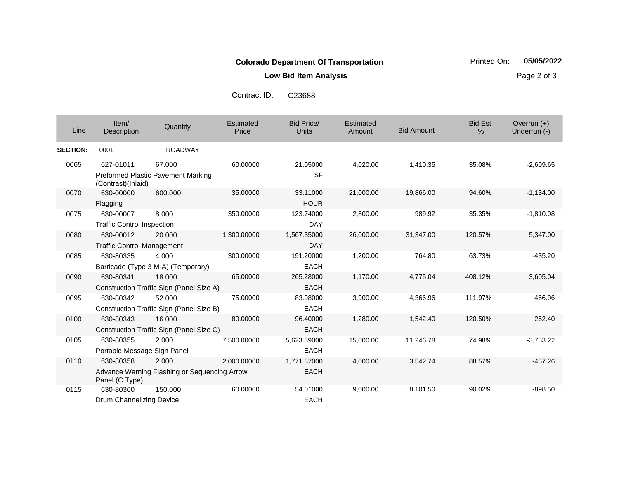**Low Bid Item Analysis Page 2 of 3** 

| Contract ID: | C <sub>23688</sub> |
|--------------|--------------------|
|              |                    |

| Line            | Item/<br><b>Description</b>                    | Quantity                                              | Estimated<br>Price | <b>Bid Price/</b><br><b>Units</b> | Estimated<br>Amount | <b>Bid Amount</b> | <b>Bid Est</b><br>% | Overrun $(+)$<br>Underrun (-) |
|-----------------|------------------------------------------------|-------------------------------------------------------|--------------------|-----------------------------------|---------------------|-------------------|---------------------|-------------------------------|
| <b>SECTION:</b> | 0001                                           | <b>ROADWAY</b>                                        |                    |                                   |                     |                   |                     |                               |
| 0065            | 627-01011                                      | 67.000<br><b>Preformed Plastic Pavement Marking</b>   | 60.00000           | 21.05000<br><b>SF</b>             | 4,020.00            | 1.410.35          | 35.08%              | $-2,609.65$                   |
| 0070            | (Contrast)(Inlaid)<br>630-00000<br>Flagging    | 600.000                                               | 35.00000           | 33.11000<br><b>HOUR</b>           | 21,000.00           | 19,866.00         | 94.60%              | $-1,134.00$                   |
| 0075            | 630-00007<br><b>Traffic Control Inspection</b> | 8.000                                                 | 350.00000          | 123.74000<br>DAY                  | 2,800.00            | 989.92            | 35.35%              | $-1,810.08$                   |
| 0080            | 630-00012<br><b>Traffic Control Management</b> | 20.000                                                | 1,300.00000        | 1,567.35000<br><b>DAY</b>         | 26,000.00           | 31,347.00         | 120.57%             | 5,347.00                      |
| 0085            | 630-80335                                      | 4.000<br>Barricade (Type 3 M-A) (Temporary)           | 300.00000          | 191.20000<br><b>EACH</b>          | 1,200.00            | 764.80            | 63.73%              | $-435.20$                     |
| 0090            | 630-80341                                      | 18,000<br>Construction Traffic Sign (Panel Size A)    | 65.00000           | 265.28000<br><b>EACH</b>          | 1,170.00            | 4,775.04          | 408.12%             | 3,605.04                      |
| 0095            | 630-80342                                      | 52.000<br>Construction Traffic Sign (Panel Size B)    | 75.00000           | 83.98000<br><b>EACH</b>           | 3,900.00            | 4,366.96          | 111.97%             | 466.96                        |
| 0100            | 630-80343                                      | 16.000<br>Construction Traffic Sign (Panel Size C)    | 80.00000           | 96.40000<br><b>EACH</b>           | 1,280.00            | 1,542.40          | 120.50%             | 262.40                        |
| 0105            | 630-80355<br>Portable Message Sign Panel       | 2.000                                                 | 7,500.00000        | 5,623.39000<br><b>EACH</b>        | 15,000.00           | 11,246.78         | 74.98%              | $-3,753.22$                   |
| 0110            | 630-80358<br>Panel (C Type)                    | 2.000<br>Advance Warning Flashing or Sequencing Arrow | 2,000.00000        | 1,771.37000<br><b>EACH</b>        | 4,000.00            | 3,542.74          | 88.57%              | $-457.26$                     |
| 0115            | 630-80360<br>Drum Channelizing Device          | 150.000                                               | 60.00000           | 54.01000<br><b>EACH</b>           | 9,000.00            | 8,101.50          | 90.02%              | $-898.50$                     |